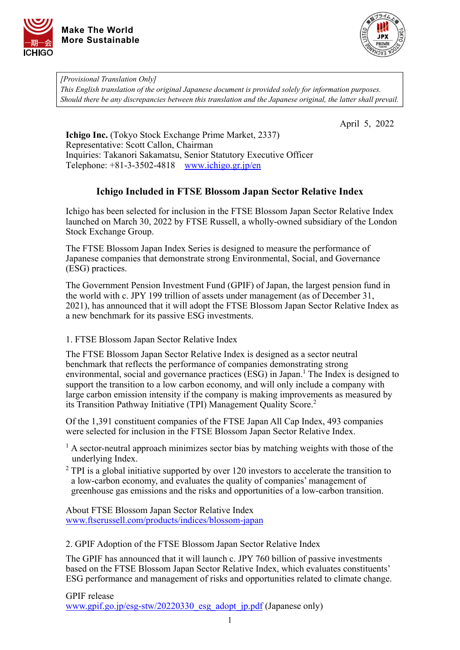



*[Provisional Translation Only] This English translation of the original Japanese document is provided solely for information purposes. Should there be any discrepancies between this translation and the Japanese original, the latter shall prevail.*

April 5, 2022

**Ichigo Inc.** (Tokyo Stock Exchange Prime Market, 2337) Representative: Scott Callon, Chairman Inquiries: Takanori Sakamatsu, Senior Statutory Executive Officer Telephone: +81-3-3502-4818 [www.ichigo.gr.jp/en](https://www.ichigo.gr.jp/en)

## **Ichigo Included in FTSE Blossom Japan Sector Relative Index**

Ichigo has been selected for inclusion in the FTSE Blossom Japan Sector Relative Index launched on March 30, 2022 by FTSE Russell, a wholly-owned subsidiary of the London Stock Exchange Group.

The FTSE Blossom Japan Index Series is designed to measure the performance of Japanese companies that demonstrate strong Environmental, Social, and Governance (ESG) practices.

The Government Pension Investment Fund (GPIF) of Japan, the largest pension fund in the world with c. JPY 199 trillion of assets under management (as of December 31, 2021), has announced that it will adopt the FTSE Blossom Japan Sector Relative Index as a new benchmark for its passive ESG investments.

## 1. FTSE Blossom Japan Sector Relative Index

The FTSE Blossom Japan Sector Relative Index is designed as a sector neutral benchmark that reflects the performance of companies demonstrating strong environmental, social and governance practices (ESG) in Japan.<sup>1</sup> The Index is designed to support the transition to a low carbon economy, and will only include a company with large carbon emission intensity if the company is making improvements as measured by its Transition Pathway Initiative (TPI) Management Quality Score.<sup>2</sup>

Of the 1,391 constituent companies of the FTSE Japan All Cap Index, 493 companies were selected for inclusion in the FTSE Blossom Japan Sector Relative Index.

- $<sup>1</sup>$  A sector-neutral approach minimizes sector bias by matching weights with those of the</sup> underlying Index.
- $2$  TPI is a global initiative supported by over 120 investors to accelerate the transition to a low-carbon economy, and evaluates the quality of companies' management of greenhouse gas emissions and the risks and opportunities of a low-carbon transition.

About FTSE Blossom Japan Sector Relative Index [www.ftserussell.com/products/indices/blossom-japan](https://www.ftserussell.com/products/indices/blossom-japan)

2. GPIF Adoption of the FTSE Blossom Japan Sector Relative Index

The GPIF has announced that it will launch c. JPY 760 billion of passive investments based on the FTSE Blossom Japan Sector Relative Index, which evaluates constituents' ESG performance and management of risks and opportunities related to climate change.

GPIF release [www.gpif.go.jp/esg-stw/20220330\\_esg\\_adopt\\_jp.pdf](https://www.gpif.go.jp/esg-stw/20220330_esg_adopt_jp.pdf) (Japanese only)